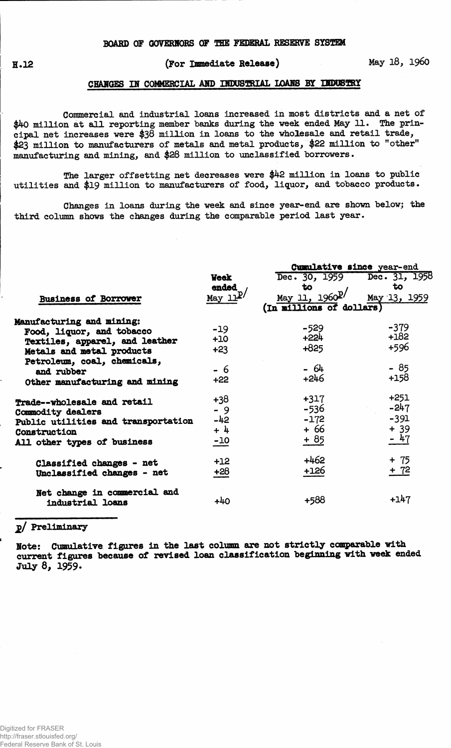## **(For Immediate Release) May 18, i960**

#### **CHARGES IN COMMERCIAL AMP mDSBgHAL LOAMS BY UDOSTRY**

**Commercial and industrial loans increased in most districts and a net of \$40 million at all reporting member banks during the week ended May 11. The principal net increases were \$38 million in loans to the wholesale and retail trade, \$23 million to manufacturers of metals and metal products, \$22 million to "other" manufacturing and mining, and \$28 million to unclassified "borrowers.**

**The larger offsetting net decreases were \$42 million in loans to public utilities and \$19 million to manufacturers of food, liquor, and tobacco products.**

**Changes in loans during the week and since year-end are shown below; the third column shows the changes during the comparable period last year.**

|                                     |              | Cumulative since year-end              |               |  |  |  |  |
|-------------------------------------|--------------|----------------------------------------|---------------|--|--|--|--|
|                                     | <b>Week</b>  | Dec. 30, 1959                          | Dec. 31, 1958 |  |  |  |  |
|                                     | ended        | to                                     | to            |  |  |  |  |
| <b>Business of Borrower</b>         | May $11^{p}$ | $\frac{\text{May }11}{\text{My }1960}$ | May 13, 1959  |  |  |  |  |
|                                     |              | (In millions of dollars)               |               |  |  |  |  |
| Manufacturing and mining:           |              |                                        |               |  |  |  |  |
| Food, liquor, and tobacco           | $-19$        | $-529$                                 | $-379$        |  |  |  |  |
| Textiles, apparel, and leather      | $+10$        | $+224$                                 | $+182$        |  |  |  |  |
| Metals and metal products           | $+23$        | $+825$                                 | +596          |  |  |  |  |
| Petroleum, coal, chemicals,         |              |                                        |               |  |  |  |  |
| and rubber                          | - 6          | - 64                                   | - 85          |  |  |  |  |
| Other manufacturing and mining      | $+22$        | $+246$                                 | $+158$        |  |  |  |  |
| Trade--wholesale and retail         | +38          | $+317$                                 | $+251$        |  |  |  |  |
| Commodity dealers                   | $-9$         | $-536$                                 | $-247$        |  |  |  |  |
| Public utilities and transportation | -42          | $-172$                                 | $-391$        |  |  |  |  |
| Construction                        | $+ 4$        | + 66                                   | $+39$         |  |  |  |  |
| All other types of business         | $-10$        | $+85$                                  | $-47$         |  |  |  |  |
| Classified changes - net            | $+12$        | $+462$                                 | $+ 75$        |  |  |  |  |
| Unclassified changes - net          | $+28$        | $+126$                                 | + 72          |  |  |  |  |
|                                     |              |                                        |               |  |  |  |  |
| Net change in commercial and        |              |                                        |               |  |  |  |  |
| industrial loans                    | $+40$        | +588                                   | +147          |  |  |  |  |
|                                     |              |                                        |               |  |  |  |  |

## **2/ Preliminary**

**Note: Cumulative figures in the last column are not strictly comparable with current figures because of revised loan classification beginning with week ended July 8, 1959.**